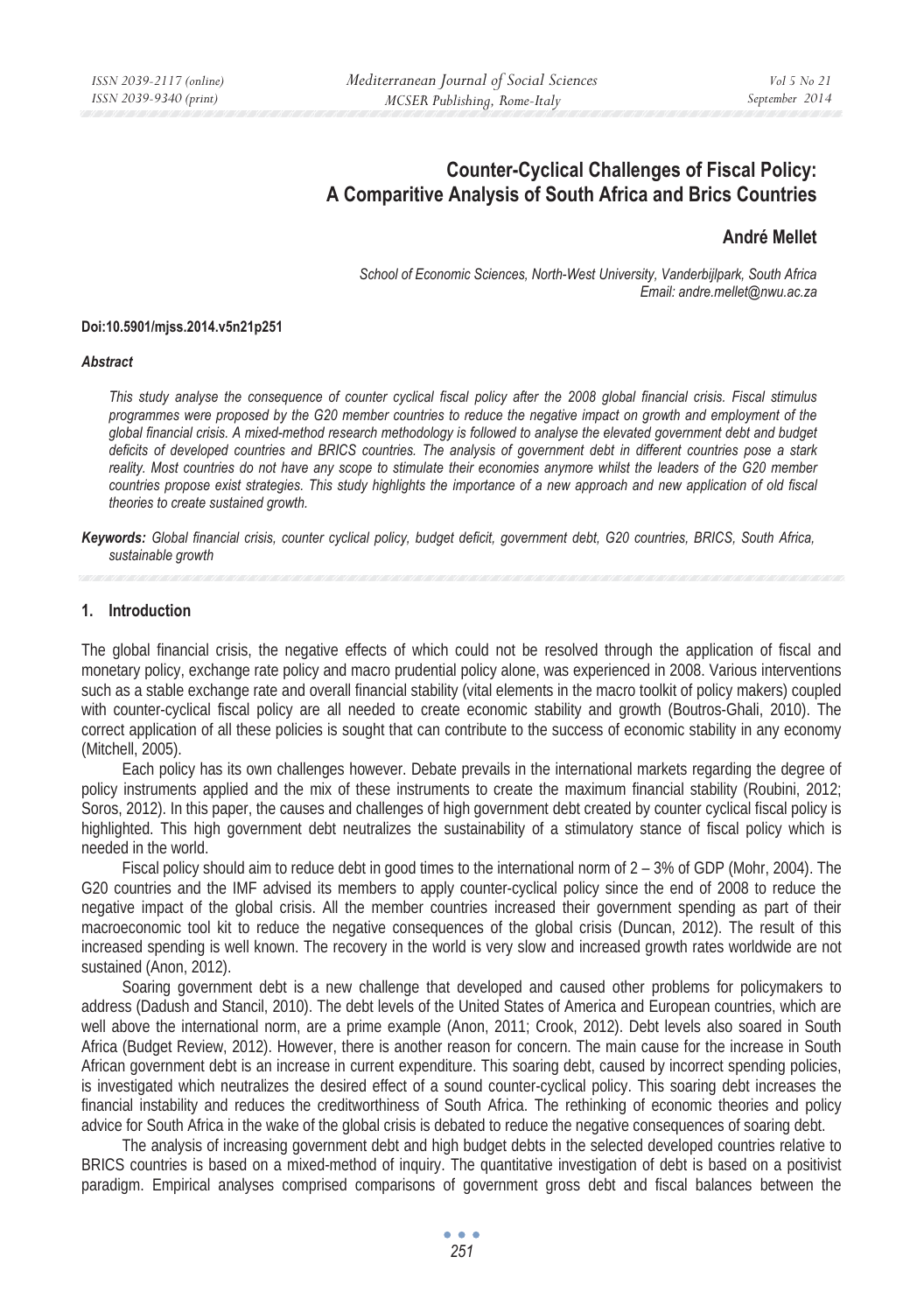# **Counter-Cyclical Challenges of Fiscal Policy: A Comparitive Analysis of South Africa and Brics Countries**

### **André Mellet**

*School of Economic Sciences, North-West University, Vanderbijlpark, South Africa Email: andre.mellet@nwu.ac.za* 

#### **Doi:10.5901/mjss.2014.v5n21p251**

#### *Abstract*

*This study analyse the consequence of counter cyclical fiscal policy after the 2008 global financial crisis. Fiscal stimulus programmes were proposed by the G20 member countries to reduce the negative impact on growth and employment of the global financial crisis. A mixed-method research methodology is followed to analyse the elevated government debt and budget deficits of developed countries and BRICS countries. The analysis of government debt in different countries pose a stark*  reality. Most countries do not have any scope to stimulate their economies anymore whilst the leaders of the G20 member *countries propose exist strategies. This study highlights the importance of a new approach and new application of old fiscal theories to create sustained growth.* 

*Keywords: Global financial crisis, counter cyclical policy, budget deficit, government debt, G20 countries, BRICS, South Africa, sustainable growth* 

#### **1. Introduction**

The global financial crisis, the negative effects of which could not be resolved through the application of fiscal and monetary policy, exchange rate policy and macro prudential policy alone, was experienced in 2008. Various interventions such as a stable exchange rate and overall financial stability (vital elements in the macro toolkit of policy makers) coupled with counter-cyclical fiscal policy are all needed to create economic stability and growth (Boutros-Ghali, 2010). The correct application of all these policies is sought that can contribute to the success of economic stability in any economy (Mitchell, 2005).

Each policy has its own challenges however. Debate prevails in the international markets regarding the degree of policy instruments applied and the mix of these instruments to create the maximum financial stability (Roubini, 2012; Soros, 2012). In this paper, the causes and challenges of high government debt created by counter cyclical fiscal policy is highlighted. This high government debt neutralizes the sustainability of a stimulatory stance of fiscal policy which is needed in the world.

Fiscal policy should aim to reduce debt in good times to the international norm of 2 – 3% of GDP (Mohr, 2004). The G20 countries and the IMF advised its members to apply counter-cyclical policy since the end of 2008 to reduce the negative impact of the global crisis. All the member countries increased their government spending as part of their macroeconomic tool kit to reduce the negative consequences of the global crisis (Duncan, 2012). The result of this increased spending is well known. The recovery in the world is very slow and increased growth rates worldwide are not sustained (Anon, 2012).

Soaring government debt is a new challenge that developed and caused other problems for policymakers to address (Dadush and Stancil, 2010). The debt levels of the United States of America and European countries, which are well above the international norm, are a prime example (Anon, 2011; Crook, 2012). Debt levels also soared in South Africa (Budget Review, 2012). However, there is another reason for concern. The main cause for the increase in South African government debt is an increase in current expenditure. This soaring debt, caused by incorrect spending policies, is investigated which neutralizes the desired effect of a sound counter-cyclical policy. This soaring debt increases the financial instability and reduces the creditworthiness of South Africa. The rethinking of economic theories and policy advice for South Africa in the wake of the global crisis is debated to reduce the negative consequences of soaring debt.

The analysis of increasing government debt and high budget debts in the selected developed countries relative to BRICS countries is based on a mixed-method of inquiry. The quantitative investigation of debt is based on a positivist paradigm. Empirical analyses comprised comparisons of government gross debt and fiscal balances between the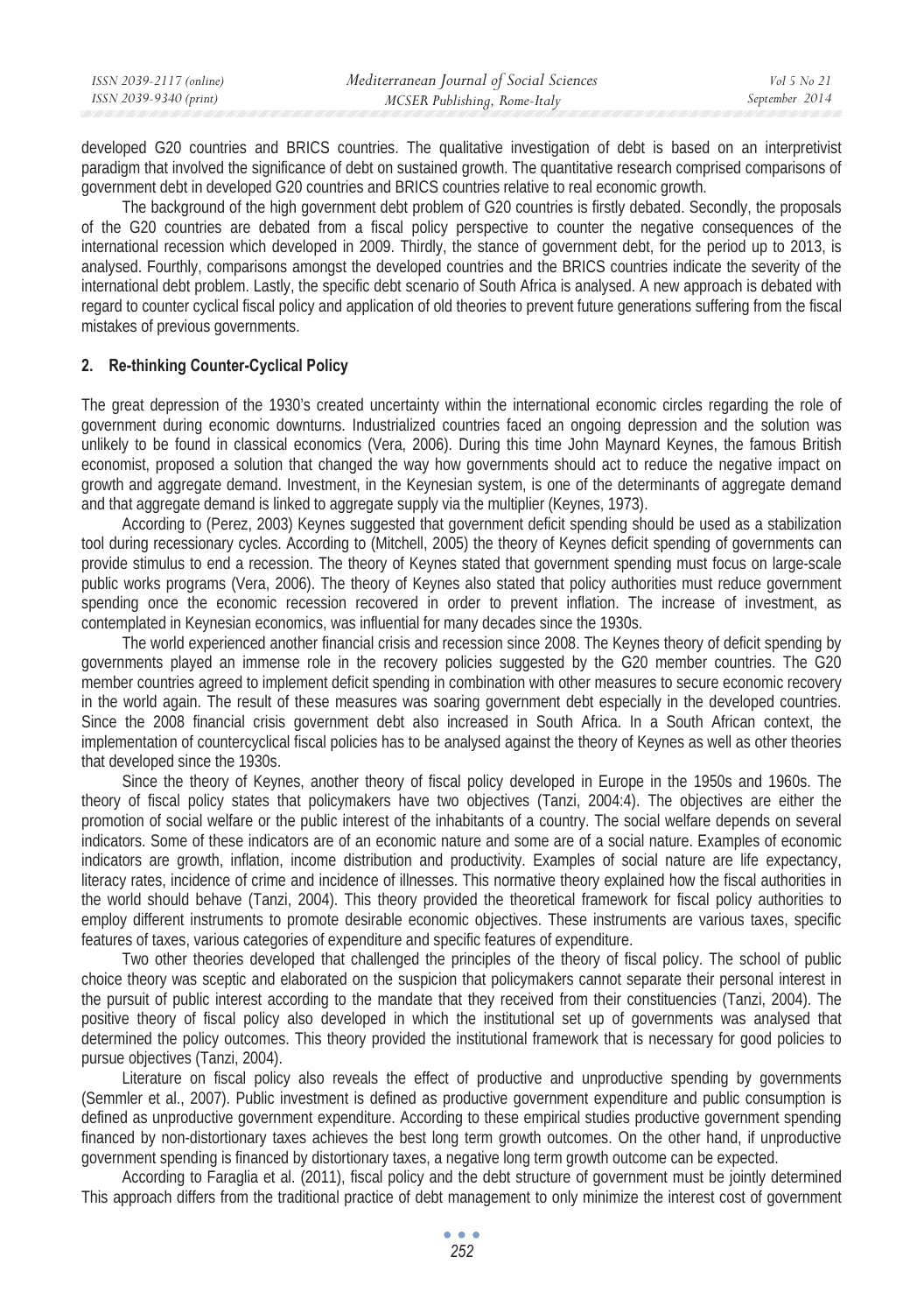| ISSN 2039-2117 (online) | Mediterranean Journal of Social Sciences | Vol 5 No 21    |
|-------------------------|------------------------------------------|----------------|
| ISSN 2039-9340 (print)  | MCSER Publishing, Rome-Italy             | September 2014 |

developed G20 countries and BRICS countries. The qualitative investigation of debt is based on an interpretivist paradigm that involved the significance of debt on sustained growth. The quantitative research comprised comparisons of government debt in developed G20 countries and BRICS countries relative to real economic growth.

The background of the high government debt problem of G20 countries is firstly debated. Secondly, the proposals of the G20 countries are debated from a fiscal policy perspective to counter the negative consequences of the international recession which developed in 2009. Thirdly, the stance of government debt, for the period up to 2013, is analysed. Fourthly, comparisons amongst the developed countries and the BRICS countries indicate the severity of the international debt problem. Lastly, the specific debt scenario of South Africa is analysed. A new approach is debated with regard to counter cyclical fiscal policy and application of old theories to prevent future generations suffering from the fiscal mistakes of previous governments.

#### **2. Re-thinking Counter-Cyclical Policy**

The great depression of the 1930's created uncertainty within the international economic circles regarding the role of government during economic downturns. Industrialized countries faced an ongoing depression and the solution was unlikely to be found in classical economics (Vera, 2006). During this time John Maynard Keynes, the famous British economist, proposed a solution that changed the way how governments should act to reduce the negative impact on growth and aggregate demand. Investment, in the Keynesian system, is one of the determinants of aggregate demand and that aggregate demand is linked to aggregate supply via the multiplier (Keynes, 1973).

According to (Perez, 2003) Keynes suggested that government deficit spending should be used as a stabilization tool during recessionary cycles. According to (Mitchell, 2005) the theory of Keynes deficit spending of governments can provide stimulus to end a recession. The theory of Keynes stated that government spending must focus on large-scale public works programs (Vera, 2006). The theory of Keynes also stated that policy authorities must reduce government spending once the economic recession recovered in order to prevent inflation. The increase of investment, as contemplated in Keynesian economics, was influential for many decades since the 1930s.

The world experienced another financial crisis and recession since 2008. The Keynes theory of deficit spending by governments played an immense role in the recovery policies suggested by the G20 member countries. The G20 member countries agreed to implement deficit spending in combination with other measures to secure economic recovery in the world again. The result of these measures was soaring government debt especially in the developed countries. Since the 2008 financial crisis government debt also increased in South Africa. In a South African context, the implementation of countercyclical fiscal policies has to be analysed against the theory of Keynes as well as other theories that developed since the 1930s.

Since the theory of Keynes, another theory of fiscal policy developed in Europe in the 1950s and 1960s. The theory of fiscal policy states that policymakers have two objectives (Tanzi, 2004:4). The objectives are either the promotion of social welfare or the public interest of the inhabitants of a country. The social welfare depends on several indicators. Some of these indicators are of an economic nature and some are of a social nature. Examples of economic indicators are growth, inflation, income distribution and productivity. Examples of social nature are life expectancy, literacy rates, incidence of crime and incidence of illnesses. This normative theory explained how the fiscal authorities in the world should behave (Tanzi, 2004). This theory provided the theoretical framework for fiscal policy authorities to employ different instruments to promote desirable economic objectives. These instruments are various taxes, specific features of taxes, various categories of expenditure and specific features of expenditure.

Two other theories developed that challenged the principles of the theory of fiscal policy. The school of public choice theory was sceptic and elaborated on the suspicion that policymakers cannot separate their personal interest in the pursuit of public interest according to the mandate that they received from their constituencies (Tanzi, 2004). The positive theory of fiscal policy also developed in which the institutional set up of governments was analysed that determined the policy outcomes. This theory provided the institutional framework that is necessary for good policies to pursue objectives (Tanzi, 2004).

Literature on fiscal policy also reveals the effect of productive and unproductive spending by governments (Semmler et al., 2007). Public investment is defined as productive government expenditure and public consumption is defined as unproductive government expenditure. According to these empirical studies productive government spending financed by non-distortionary taxes achieves the best long term growth outcomes. On the other hand, if unproductive government spending is financed by distortionary taxes, a negative long term growth outcome can be expected.

According to Faraglia et al. (2011), fiscal policy and the debt structure of government must be jointly determined This approach differs from the traditional practice of debt management to only minimize the interest cost of government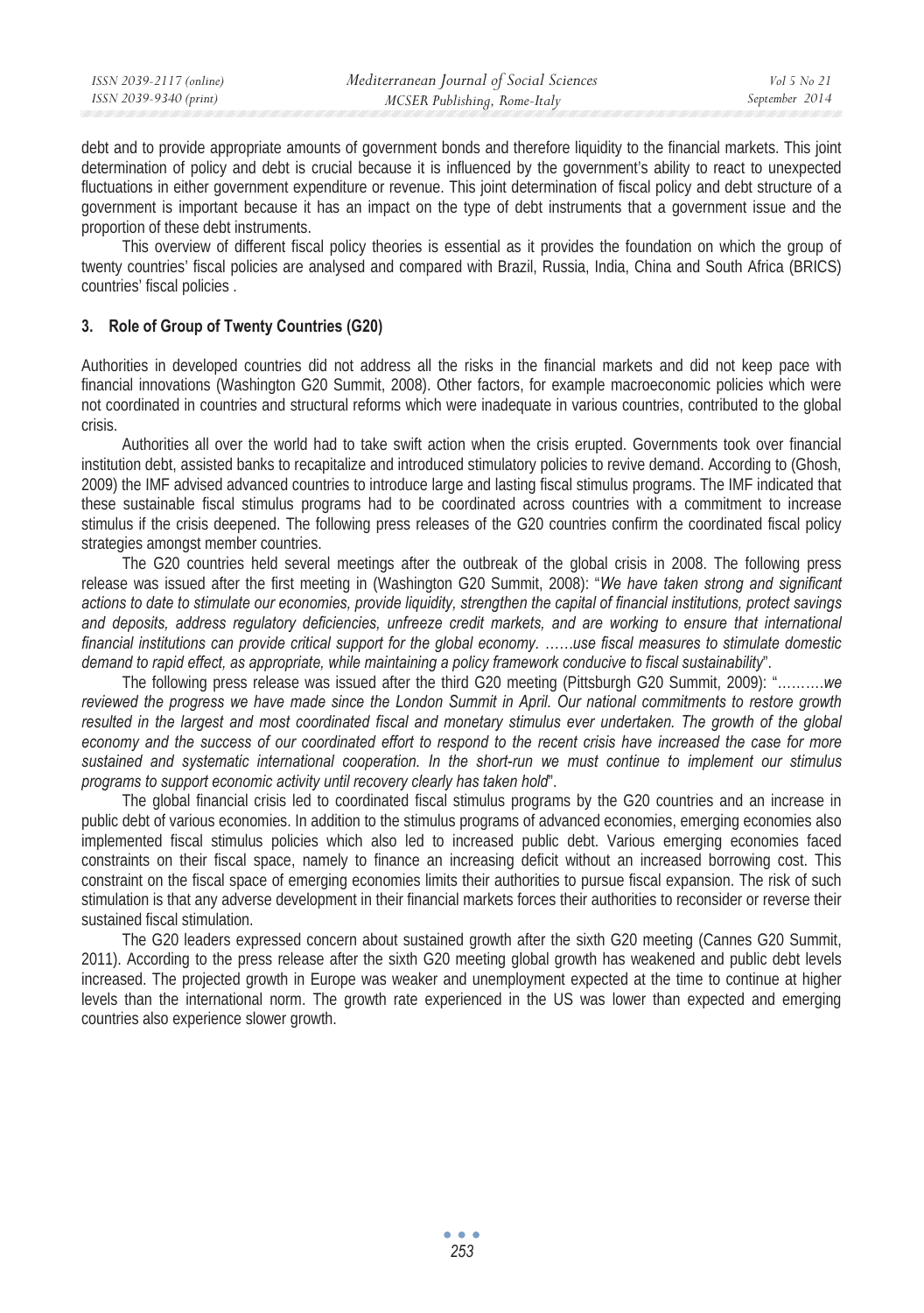| ISSN 2039-9340 (print)<br>MCSER Publishing, Rome-Italy | ISSN 2039-2117 (online) | Mediterranean Journal of Social Sciences | Vol 5 No 21    |
|--------------------------------------------------------|-------------------------|------------------------------------------|----------------|
|                                                        |                         |                                          | September 2014 |

debt and to provide appropriate amounts of government bonds and therefore liquidity to the financial markets. This joint determination of policy and debt is crucial because it is influenced by the government's ability to react to unexpected fluctuations in either government expenditure or revenue. This joint determination of fiscal policy and debt structure of a government is important because it has an impact on the type of debt instruments that a government issue and the proportion of these debt instruments.

This overview of different fiscal policy theories is essential as it provides the foundation on which the group of twenty countries' fiscal policies are analysed and compared with Brazil, Russia, India, China and South Africa (BRICS) countries' fiscal policies .

### **3. Role of Group of Twenty Countries (G20)**

Authorities in developed countries did not address all the risks in the financial markets and did not keep pace with financial innovations (Washington G20 Summit, 2008). Other factors, for example macroeconomic policies which were not coordinated in countries and structural reforms which were inadequate in various countries, contributed to the global crisis.

Authorities all over the world had to take swift action when the crisis erupted. Governments took over financial institution debt, assisted banks to recapitalize and introduced stimulatory policies to revive demand. According to (Ghosh, 2009) the IMF advised advanced countries to introduce large and lasting fiscal stimulus programs. The IMF indicated that these sustainable fiscal stimulus programs had to be coordinated across countries with a commitment to increase stimulus if the crisis deepened. The following press releases of the G20 countries confirm the coordinated fiscal policy strategies amongst member countries.

The G20 countries held several meetings after the outbreak of the global crisis in 2008. The following press release was issued after the first meeting in (Washington G20 Summit, 2008): "*We have taken strong and significant actions to date to stimulate our economies, provide liquidity, strengthen the capital of financial institutions, protect savings*  and deposits, address regulatory deficiencies, unfreeze credit markets, and are working to ensure that international *financial institutions can provide critical support for the global economy. ……use fiscal measures to stimulate domestic demand to rapid effect, as appropriate, while maintaining a policy framework conducive to fiscal sustainability*".

The following press release was issued after the third G20 meeting (Pittsburgh G20 Summit, 2009): "……….*we reviewed the progress we have made since the London Summit in April. Our national commitments to restore growth*  resulted in the largest and most coordinated fiscal and monetary stimulus ever undertaken. The growth of the global *economy and the success of our coordinated effort to respond to the recent crisis have increased the case for more sustained and systematic international cooperation. In the short-run we must continue to implement our stimulus programs to support economic activity until recovery clearly has taken hold*".

The global financial crisis led to coordinated fiscal stimulus programs by the G20 countries and an increase in public debt of various economies. In addition to the stimulus programs of advanced economies, emerging economies also implemented fiscal stimulus policies which also led to increased public debt. Various emerging economies faced constraints on their fiscal space, namely to finance an increasing deficit without an increased borrowing cost. This constraint on the fiscal space of emerging economies limits their authorities to pursue fiscal expansion. The risk of such stimulation is that any adverse development in their financial markets forces their authorities to reconsider or reverse their sustained fiscal stimulation.

The G20 leaders expressed concern about sustained growth after the sixth G20 meeting (Cannes G20 Summit, 2011). According to the press release after the sixth G20 meeting global growth has weakened and public debt levels increased. The projected growth in Europe was weaker and unemployment expected at the time to continue at higher levels than the international norm. The growth rate experienced in the US was lower than expected and emerging countries also experience slower growth.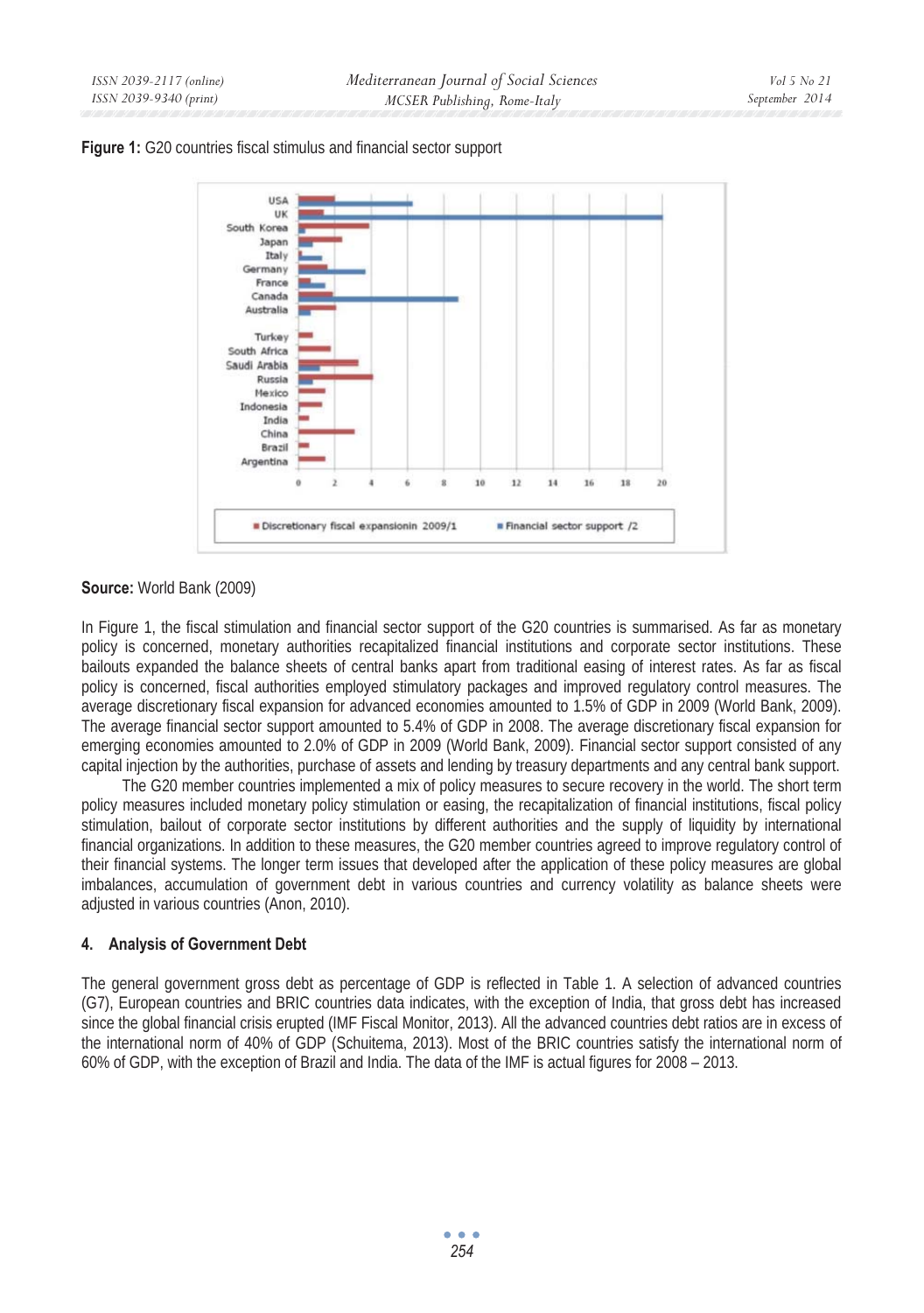



## **Source:** World Bank (2009)

In Figure 1, the fiscal stimulation and financial sector support of the G20 countries is summarised. As far as monetary policy is concerned, monetary authorities recapitalized financial institutions and corporate sector institutions. These bailouts expanded the balance sheets of central banks apart from traditional easing of interest rates. As far as fiscal policy is concerned, fiscal authorities employed stimulatory packages and improved regulatory control measures. The average discretionary fiscal expansion for advanced economies amounted to 1.5% of GDP in 2009 (World Bank, 2009). The average financial sector support amounted to 5.4% of GDP in 2008. The average discretionary fiscal expansion for emerging economies amounted to 2.0% of GDP in 2009 (World Bank, 2009). Financial sector support consisted of any capital injection by the authorities, purchase of assets and lending by treasury departments and any central bank support.

The G20 member countries implemented a mix of policy measures to secure recovery in the world. The short term policy measures included monetary policy stimulation or easing, the recapitalization of financial institutions, fiscal policy stimulation, bailout of corporate sector institutions by different authorities and the supply of liquidity by international financial organizations. In addition to these measures, the G20 member countries agreed to improve regulatory control of their financial systems. The longer term issues that developed after the application of these policy measures are global imbalances, accumulation of government debt in various countries and currency volatility as balance sheets were adjusted in various countries (Anon, 2010).

## **4. Analysis of Government Debt**

The general government gross debt as percentage of GDP is reflected in Table 1. A selection of advanced countries (G7), European countries and BRIC countries data indicates, with the exception of India, that gross debt has increased since the global financial crisis erupted (IMF Fiscal Monitor, 2013). All the advanced countries debt ratios are in excess of the international norm of 40% of GDP (Schuitema, 2013). Most of the BRIC countries satisfy the international norm of 60% of GDP, with the exception of Brazil and India. The data of the IMF is actual figures for 2008 – 2013.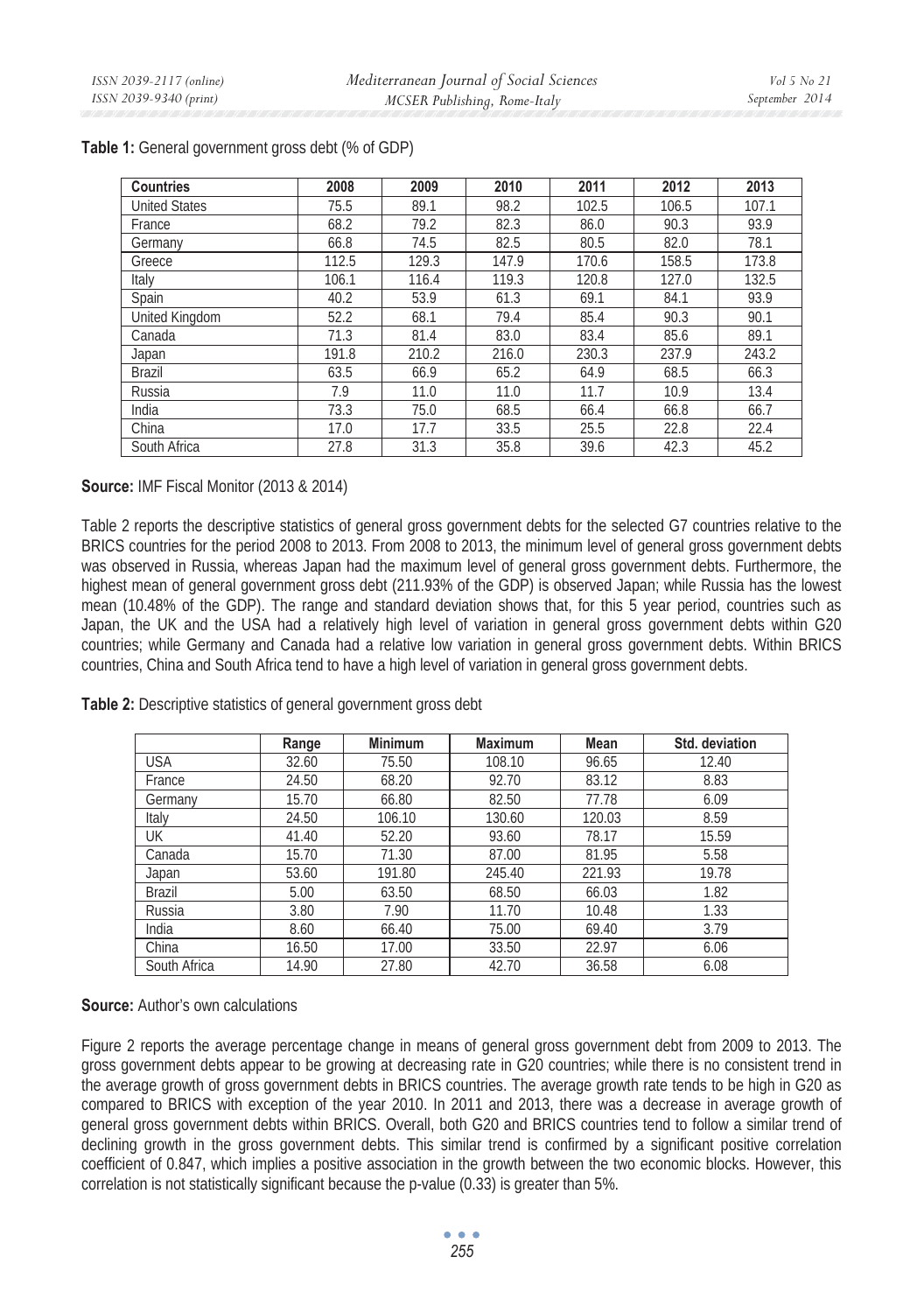| <b>Countries</b>     | 2008  | 2009  | 2010  | 2011  | 2012  | 2013  |
|----------------------|-------|-------|-------|-------|-------|-------|
| <b>United States</b> | 75.5  | 89.1  | 98.2  | 102.5 | 106.5 | 107.1 |
| France               | 68.2  | 79.2  | 82.3  | 86.0  | 90.3  | 93.9  |
| Germany              | 66.8  | 74.5  | 82.5  | 80.5  | 82.0  | 78.1  |
| Greece               | 112.5 | 129.3 | 147.9 | 170.6 | 158.5 | 173.8 |
| Italy                | 106.1 | 116.4 | 119.3 | 120.8 | 127.0 | 132.5 |
| Spain                | 40.2  | 53.9  | 61.3  | 69.1  | 84.1  | 93.9  |
| United Kingdom       | 52.2  | 68.1  | 79.4  | 85.4  | 90.3  | 90.1  |
| Canada               | 71.3  | 81.4  | 83.0  | 83.4  | 85.6  | 89.1  |
| Japan                | 191.8 | 210.2 | 216.0 | 230.3 | 237.9 | 243.2 |
| Brazil               | 63.5  | 66.9  | 65.2  | 64.9  | 68.5  | 66.3  |
| Russia               | 7.9   | 11.0  | 11.0  | 11.7  | 10.9  | 13.4  |
| India                | 73.3  | 75.0  | 68.5  | 66.4  | 66.8  | 66.7  |
| China                | 17.0  | 17.7  | 33.5  | 25.5  | 22.8  | 22.4  |
| South Africa         | 27.8  | 31.3  | 35.8  | 39.6  | 42.3  | 45.2  |

### **Table 1:** General government gross debt (% of GDP)

### **Source:** IMF Fiscal Monitor (2013 & 2014)

Table 2 reports the descriptive statistics of general gross government debts for the selected G7 countries relative to the BRICS countries for the period 2008 to 2013. From 2008 to 2013, the minimum level of general gross government debts was observed in Russia, whereas Japan had the maximum level of general gross government debts. Furthermore, the highest mean of general government gross debt (211.93% of the GDP) is observed Japan; while Russia has the lowest mean (10.48% of the GDP). The range and standard deviation shows that, for this 5 year period, countries such as Japan, the UK and the USA had a relatively high level of variation in general gross government debts within G20 countries; while Germany and Canada had a relative low variation in general gross government debts. Within BRICS countries, China and South Africa tend to have a high level of variation in general gross government debts.

**Table 2:** Descriptive statistics of general government gross debt

|              | Range | <b>Minimum</b> | <b>Maximum</b> | Mean   | Std. deviation |
|--------------|-------|----------------|----------------|--------|----------------|
| <b>USA</b>   | 32.60 | 75.50          | 108.10         | 96.65  | 12.40          |
| France       | 24.50 | 68.20          | 92.70          | 83.12  | 8.83           |
| Germany      | 15.70 | 66.80          | 82.50          | 77.78  | 6.09           |
| Italy        | 24.50 | 106.10         | 130.60         | 120.03 | 8.59           |
| UK           | 41.40 | 52.20          | 93.60          | 78.17  | 15.59          |
| Canada       | 15.70 | 71.30          | 87.00          | 81.95  | 5.58           |
| Japan        | 53.60 | 191.80         | 245.40         | 221.93 | 19.78          |
| Brazil       | 5.00  | 63.50          | 68.50          | 66.03  | 1.82           |
| Russia       | 3.80  | 7.90           | 11.70          | 10.48  | 1.33           |
| India        | 8.60  | 66.40          | 75.00          | 69.40  | 3.79           |
| China        | 16.50 | 17.00          | 33.50          | 22.97  | 6.06           |
| South Africa | 14.90 | 27.80          | 42.70          | 36.58  | 6.08           |

### **Source:** Author's own calculations

Figure 2 reports the average percentage change in means of general gross government debt from 2009 to 2013. The gross government debts appear to be growing at decreasing rate in G20 countries; while there is no consistent trend in the average growth of gross government debts in BRICS countries. The average growth rate tends to be high in G20 as compared to BRICS with exception of the year 2010. In 2011 and 2013, there was a decrease in average growth of general gross government debts within BRICS. Overall, both G20 and BRICS countries tend to follow a similar trend of declining growth in the gross government debts. This similar trend is confirmed by a significant positive correlation coefficient of 0.847, which implies a positive association in the growth between the two economic blocks. However, this correlation is not statistically significant because the p-value (0.33) is greater than 5%.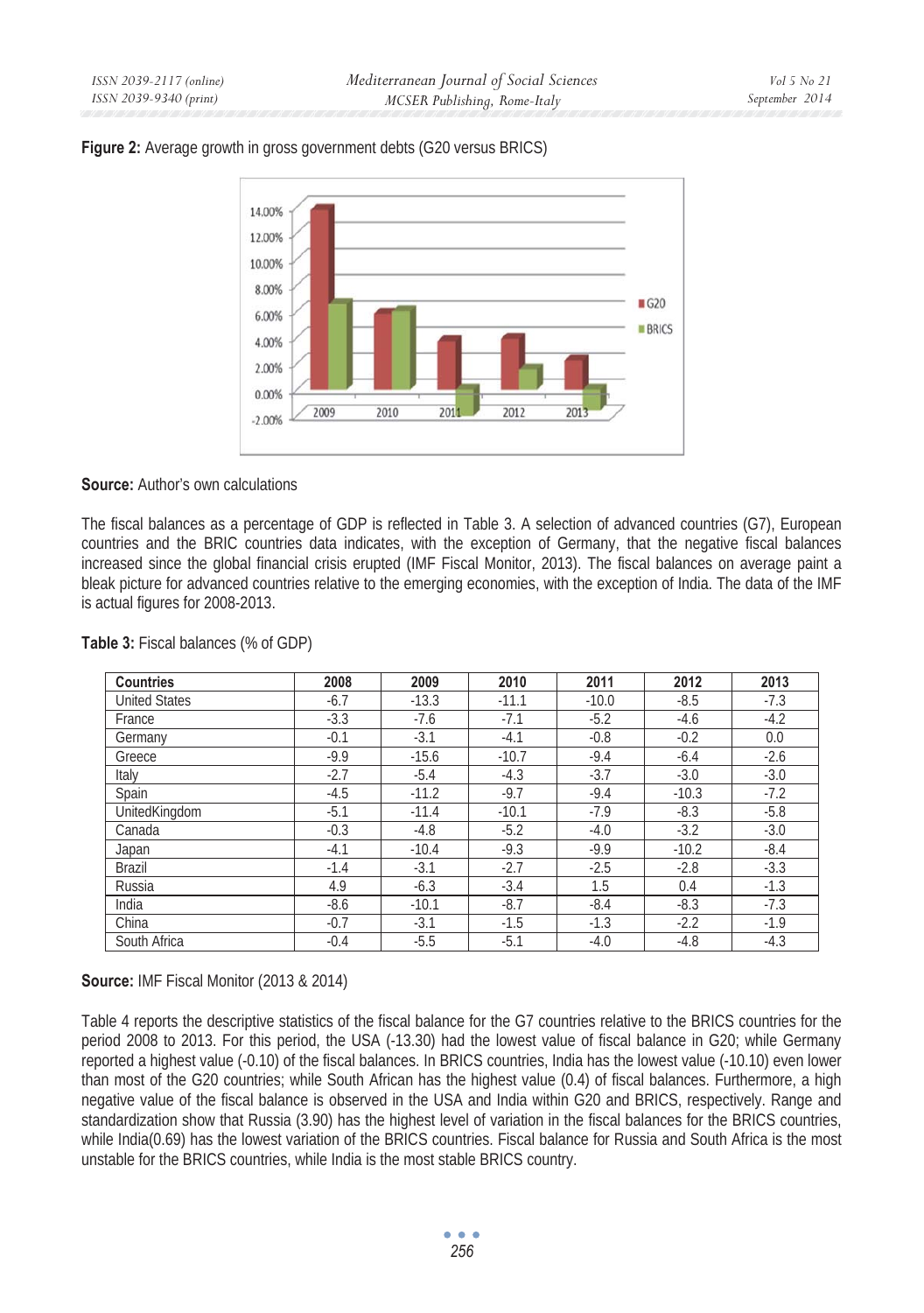### **Figure 2:** Average growth in gross government debts (G20 versus BRICS)



## **Source:** Author's own calculations

The fiscal balances as a percentage of GDP is reflected in Table 3. A selection of advanced countries (G7), European countries and the BRIC countries data indicates, with the exception of Germany, that the negative fiscal balances increased since the global financial crisis erupted (IMF Fiscal Monitor, 2013). The fiscal balances on average paint a bleak picture for advanced countries relative to the emerging economies, with the exception of India. The data of the IMF is actual figures for 2008-2013.

| <b>Countries</b>     | 2008   | 2009    | 2010    | 2011    | 2012    | 2013   |
|----------------------|--------|---------|---------|---------|---------|--------|
| <b>United States</b> | $-6.7$ | $-13.3$ | $-11.1$ | $-10.0$ | $-8.5$  | $-7.3$ |
| France               | $-3.3$ | $-7.6$  | $-7.1$  | $-5.2$  | $-4.6$  | $-4.2$ |
| Germany              | $-0.1$ | $-3.1$  | $-4.1$  | $-0.8$  | $-0.2$  | 0.0    |
| Greece               | $-9.9$ | $-15.6$ | $-10.7$ | $-9.4$  | $-6.4$  | $-2.6$ |
| Italy                | $-2.7$ | $-5.4$  | $-4.3$  | $-3.7$  | $-3.0$  | $-3.0$ |
| Spain                | $-4.5$ | $-11.2$ | $-9.7$  | $-9.4$  | $-10.3$ | $-7.2$ |
| UnitedKingdom        | $-5.1$ | $-11.4$ | $-10.1$ | $-7.9$  | $-8.3$  | $-5.8$ |
| Canada               | $-0.3$ | $-4.8$  | $-5.2$  | $-4.0$  | $-3.2$  | $-3.0$ |
| Japan                | $-4.1$ | $-10.4$ | $-9.3$  | $-9.9$  | $-10.2$ | $-8.4$ |
| <b>Brazil</b>        | $-1.4$ | $-3.1$  | $-2.7$  | $-2.5$  | $-2.8$  | $-3.3$ |
| Russia               | 4.9    | $-6.3$  | $-3.4$  | 1.5     | 0.4     | $-1.3$ |
| India                | $-8.6$ | $-10.1$ | $-8.7$  | $-8.4$  | $-8.3$  | $-7.3$ |
| China                | $-0.7$ | $-3.1$  | $-1.5$  | $-1.3$  | $-2.2$  | $-1.9$ |
| South Africa         | $-0.4$ | $-5.5$  | $-5.1$  | $-4.0$  | $-4.8$  | $-4.3$ |

### **Table 3:** Fiscal balances (% of GDP)

## **Source:** IMF Fiscal Monitor (2013 & 2014)

Table 4 reports the descriptive statistics of the fiscal balance for the G7 countries relative to the BRICS countries for the period 2008 to 2013. For this period, the USA (-13.30) had the lowest value of fiscal balance in G20; while Germany reported a highest value (-0.10) of the fiscal balances. In BRICS countries, India has the lowest value (-10.10) even lower than most of the G20 countries; while South African has the highest value (0.4) of fiscal balances. Furthermore, a high negative value of the fiscal balance is observed in the USA and India within G20 and BRICS, respectively. Range and standardization show that Russia (3.90) has the highest level of variation in the fiscal balances for the BRICS countries, while India(0.69) has the lowest variation of the BRICS countries. Fiscal balance for Russia and South Africa is the most unstable for the BRICS countries, while India is the most stable BRICS country.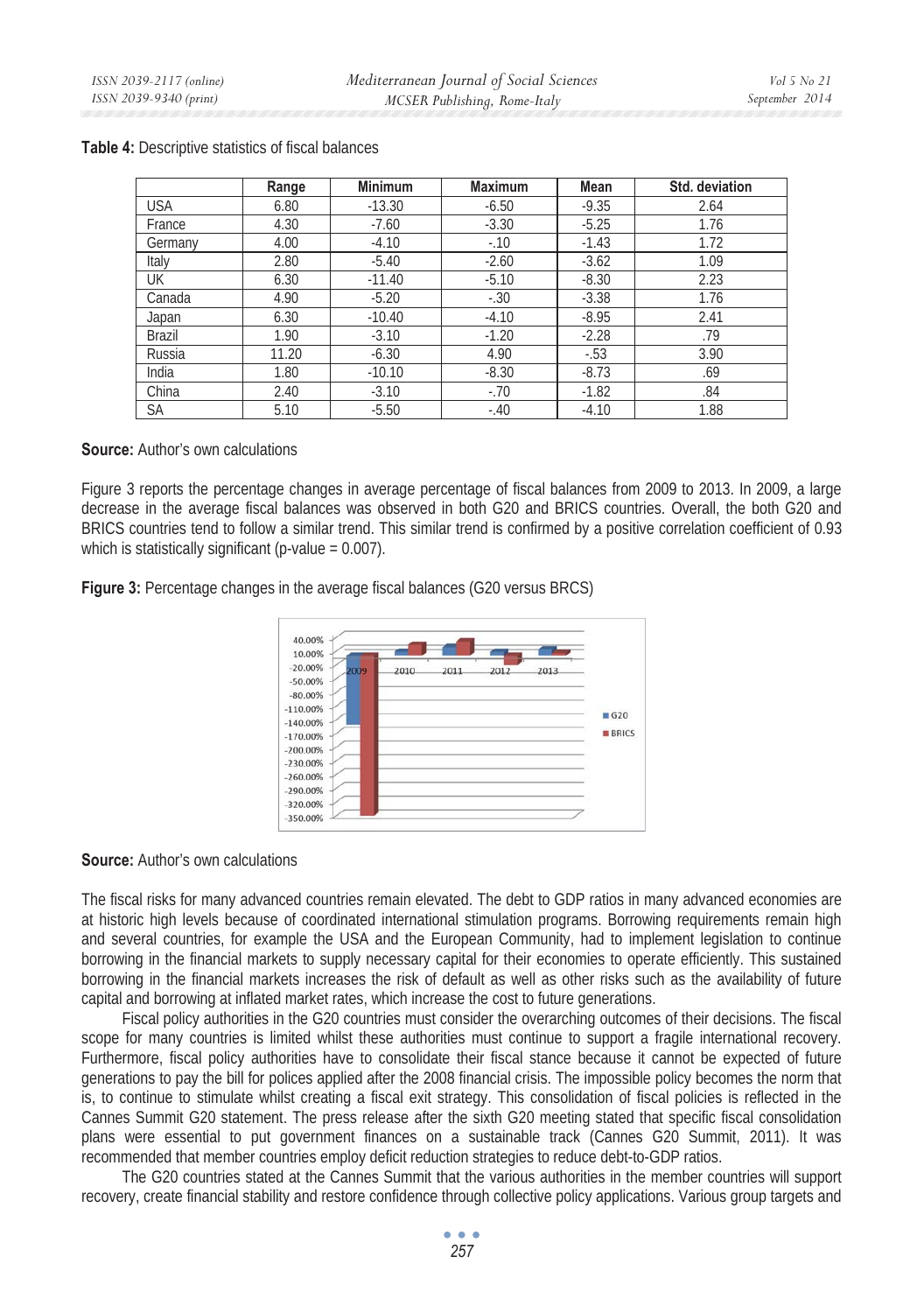|            | Range | <b>Minimum</b> | <b>Maximum</b> | <b>Mean</b> | Std. deviation |
|------------|-------|----------------|----------------|-------------|----------------|
| <b>USA</b> | 6.80  | $-13.30$       | $-6.50$        | $-9.35$     | 2.64           |
| France     | 4.30  | $-7.60$        | $-3.30$        | $-5.25$     | 1.76           |
| Germany    | 4.00  | $-4.10$        | $-10$          | $-1.43$     | 1.72           |
| Italy      | 2.80  | $-5.40$        | $-2.60$        | $-3.62$     | 1.09           |
| UK         | 6.30  | $-11.40$       | $-5.10$        | $-8.30$     | 2.23           |
| Canada     | 4.90  | $-5.20$        | $-.30$         | $-3.38$     | 1.76           |
| Japan      | 6.30  | $-10.40$       | $-4.10$        | $-8.95$     | 2.41           |
| Brazil     | 1.90  | $-3.10$        | $-1.20$        | $-2.28$     | .79            |
| Russia     | 11.20 | $-6.30$        | 4.90           | $-.53$      | 3.90           |
| India      | 1.80  | $-10.10$       | $-8.30$        | $-8.73$     | .69            |
| China      | 2.40  | $-3.10$        | $-.70$         | $-1.82$     | .84            |
| <b>SA</b>  | 5.10  | $-5.50$        | $-.40$         | $-4.10$     | 1.88           |

#### **Table 4:** Descriptive statistics of fiscal balances

#### **Source:** Author's own calculations

Figure 3 reports the percentage changes in average percentage of fiscal balances from 2009 to 2013. In 2009, a large decrease in the average fiscal balances was observed in both G20 and BRICS countries. Overall, the both G20 and BRICS countries tend to follow a similar trend. This similar trend is confirmed by a positive correlation coefficient of 0.93 which is statistically significant (p-value  $= 0.007$ ).

**Figure 3:** Percentage changes in the average fiscal balances (G20 versus BRCS)



### **Source:** Author's own calculations

The fiscal risks for many advanced countries remain elevated. The debt to GDP ratios in many advanced economies are at historic high levels because of coordinated international stimulation programs. Borrowing requirements remain high and several countries, for example the USA and the European Community, had to implement legislation to continue borrowing in the financial markets to supply necessary capital for their economies to operate efficiently. This sustained borrowing in the financial markets increases the risk of default as well as other risks such as the availability of future capital and borrowing at inflated market rates, which increase the cost to future generations.

Fiscal policy authorities in the G20 countries must consider the overarching outcomes of their decisions. The fiscal scope for many countries is limited whilst these authorities must continue to support a fragile international recovery. Furthermore, fiscal policy authorities have to consolidate their fiscal stance because it cannot be expected of future generations to pay the bill for polices applied after the 2008 financial crisis. The impossible policy becomes the norm that is, to continue to stimulate whilst creating a fiscal exit strategy. This consolidation of fiscal policies is reflected in the Cannes Summit G20 statement. The press release after the sixth G20 meeting stated that specific fiscal consolidation plans were essential to put government finances on a sustainable track (Cannes G20 Summit, 2011). It was recommended that member countries employ deficit reduction strategies to reduce debt-to-GDP ratios.

The G20 countries stated at the Cannes Summit that the various authorities in the member countries will support recovery, create financial stability and restore confidence through collective policy applications. Various group targets and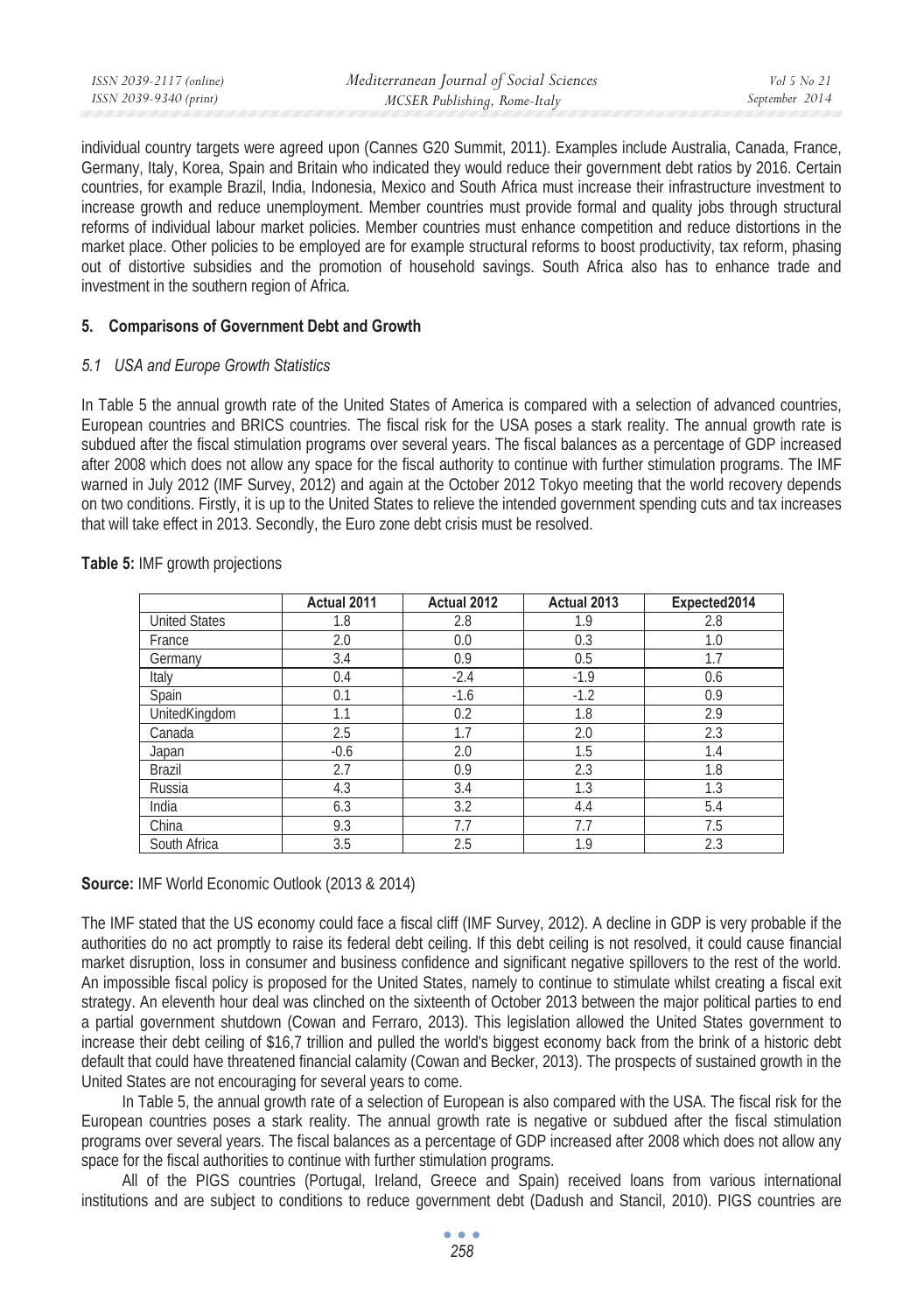| ISSN 2039-2117 (online) | Mediterranean Journal of Social Sciences | Vol 5 No 21    |
|-------------------------|------------------------------------------|----------------|
| ISSN 2039-9340 (print)  | MCSER Publishing, Rome-Italy             | September 2014 |

individual country targets were agreed upon (Cannes G20 Summit, 2011). Examples include Australia, Canada, France, Germany, Italy, Korea, Spain and Britain who indicated they would reduce their government debt ratios by 2016. Certain countries, for example Brazil, India, Indonesia, Mexico and South Africa must increase their infrastructure investment to increase growth and reduce unemployment. Member countries must provide formal and quality jobs through structural reforms of individual labour market policies. Member countries must enhance competition and reduce distortions in the market place. Other policies to be employed are for example structural reforms to boost productivity, tax reform, phasing out of distortive subsidies and the promotion of household savings. South Africa also has to enhance trade and investment in the southern region of Africa.

### **5. Comparisons of Government Debt and Growth**

### *5.1 USA and Europe Growth Statistics*

In Table 5 the annual growth rate of the United States of America is compared with a selection of advanced countries, European countries and BRICS countries. The fiscal risk for the USA poses a stark reality. The annual growth rate is subdued after the fiscal stimulation programs over several years. The fiscal balances as a percentage of GDP increased after 2008 which does not allow any space for the fiscal authority to continue with further stimulation programs. The IMF warned in July 2012 (IMF Survey, 2012) and again at the October 2012 Tokyo meeting that the world recovery depends on two conditions. Firstly, it is up to the United States to relieve the intended government spending cuts and tax increases that will take effect in 2013. Secondly, the Euro zone debt crisis must be resolved.

|                      | Actual 2011 | Actual 2012 | Actual 2013 | Expected2014 |
|----------------------|-------------|-------------|-------------|--------------|
| <b>United States</b> | 1.8         | 2.8         | 1.9         | 2.8          |
| France               | 2.0         | 0.0         | 0.3         | 1.0          |
| Germany              | 3.4         | 0.9         | 0.5         | 1.7          |
| Italy                | 0.4         | $-2.4$      | $-1.9$      | 0.6          |
| Spain                | 0.1         | $-1.6$      | $-1.2$      | 0.9          |
| UnitedKingdom        | 1.1         | 0.2         | 1.8         | 2.9          |
| Canada               | 2.5         | 1.7         | 2.0         | 2.3          |
| Japan                | $-0.6$      | 2.0         | 1.5         | 1.4          |
| <b>Brazil</b>        | 2.7         | 0.9         | 2.3         | 1.8          |
| Russia               | 4.3         | 3.4         | 1.3         | 1.3          |
| India                | 6.3         | 3.2         | 4.4         | 5.4          |
| China                | 9.3         | 7.7         | 7.7         | 7.5          |
| South Africa         | 3.5         | 2.5         | 1.9         | 2.3          |

### **Table 5:** IMF growth projections

### **Source:** IMF World Economic Outlook (2013 & 2014)

The IMF stated that the US economy could face a fiscal cliff (IMF Survey, 2012). A decline in GDP is very probable if the authorities do no act promptly to raise its federal debt ceiling. If this debt ceiling is not resolved, it could cause financial market disruption, loss in consumer and business confidence and significant negative spillovers to the rest of the world. An impossible fiscal policy is proposed for the United States, namely to continue to stimulate whilst creating a fiscal exit strategy. An eleventh hour deal was clinched on the sixteenth of October 2013 between the major political parties to end a partial government shutdown (Cowan and Ferraro, 2013). This legislation allowed the United States government to increase their debt ceiling of \$16,7 trillion and pulled the world's biggest economy back from the brink of a historic debt default that could have threatened financial calamity (Cowan and Becker, 2013). The prospects of sustained growth in the United States are not encouraging for several years to come.

In Table 5, the annual growth rate of a selection of European is also compared with the USA. The fiscal risk for the European countries poses a stark reality. The annual growth rate is negative or subdued after the fiscal stimulation programs over several years. The fiscal balances as a percentage of GDP increased after 2008 which does not allow any space for the fiscal authorities to continue with further stimulation programs.

All of the PIGS countries (Portugal, Ireland, Greece and Spain) received loans from various international institutions and are subject to conditions to reduce government debt (Dadush and Stancil, 2010). PIGS countries are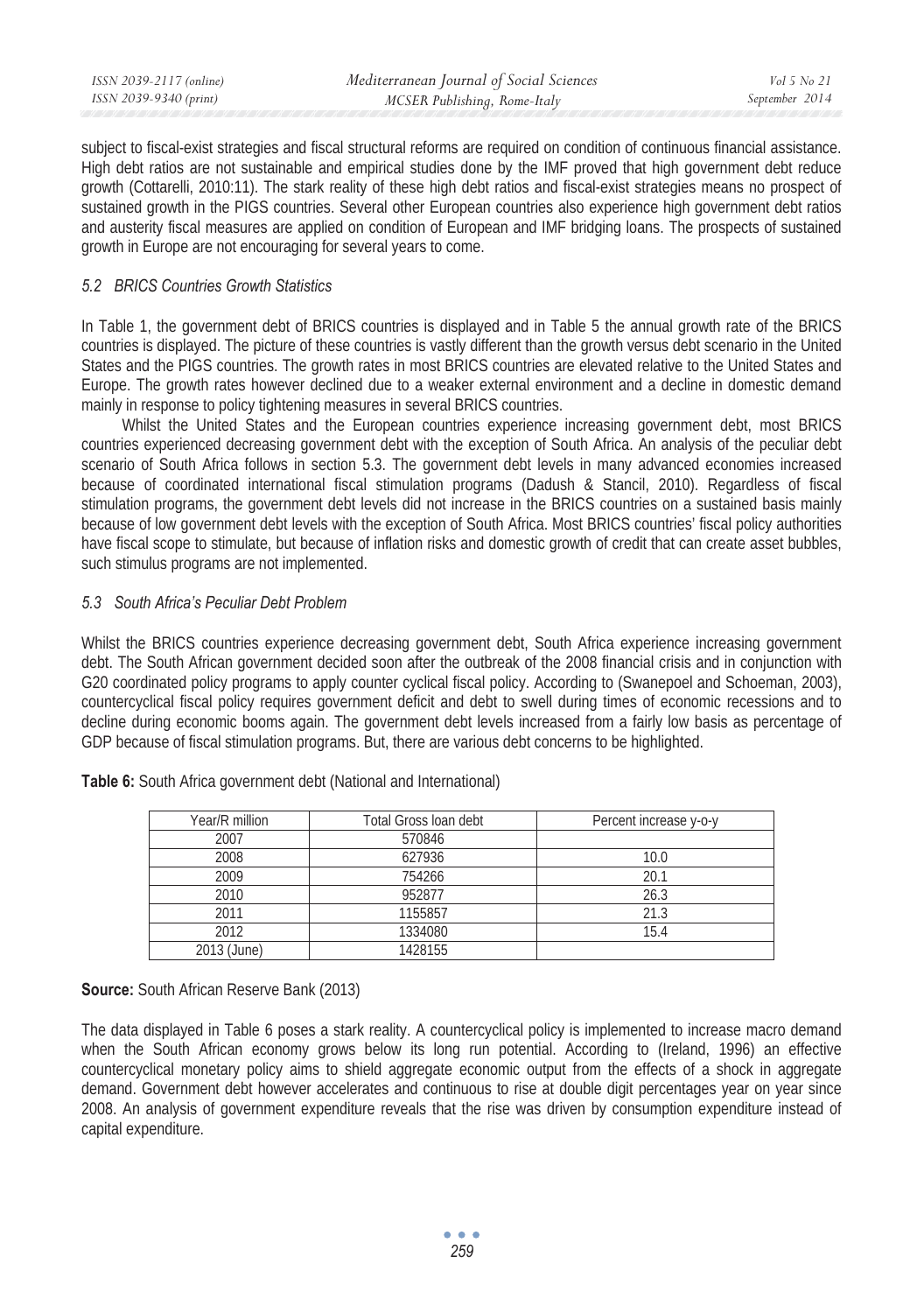| ISSN 2039-2117 (online) | Mediterranean Journal of Social Sciences | Vol 5 No 21    |
|-------------------------|------------------------------------------|----------------|
| ISSN 2039-9340 (print)  | MCSER Publishing, Rome-Italy             | September 2014 |

subject to fiscal-exist strategies and fiscal structural reforms are required on condition of continuous financial assistance. High debt ratios are not sustainable and empirical studies done by the IMF proved that high government debt reduce growth (Cottarelli, 2010:11). The stark reality of these high debt ratios and fiscal-exist strategies means no prospect of sustained growth in the PIGS countries. Several other European countries also experience high government debt ratios and austerity fiscal measures are applied on condition of European and IMF bridging loans. The prospects of sustained growth in Europe are not encouraging for several years to come.

### *5.2 BRICS Countries Growth Statistics*

In Table 1, the government debt of BRICS countries is displayed and in Table 5 the annual growth rate of the BRICS countries is displayed. The picture of these countries is vastly different than the growth versus debt scenario in the United States and the PIGS countries. The growth rates in most BRICS countries are elevated relative to the United States and Europe. The growth rates however declined due to a weaker external environment and a decline in domestic demand mainly in response to policy tightening measures in several BRICS countries.

Whilst the United States and the European countries experience increasing government debt, most BRICS countries experienced decreasing government debt with the exception of South Africa. An analysis of the peculiar debt scenario of South Africa follows in section 5.3. The government debt levels in many advanced economies increased because of coordinated international fiscal stimulation programs (Dadush & Stancil, 2010). Regardless of fiscal stimulation programs, the government debt levels did not increase in the BRICS countries on a sustained basis mainly because of low government debt levels with the exception of South Africa. Most BRICS countries' fiscal policy authorities have fiscal scope to stimulate, but because of inflation risks and domestic growth of credit that can create asset bubbles, such stimulus programs are not implemented.

### *5.3 South Africa's Peculiar Debt Problem*

Whilst the BRICS countries experience decreasing government debt, South Africa experience increasing government debt. The South African government decided soon after the outbreak of the 2008 financial crisis and in conjunction with G20 coordinated policy programs to apply counter cyclical fiscal policy. According to (Swanepoel and Schoeman, 2003), countercyclical fiscal policy requires government deficit and debt to swell during times of economic recessions and to decline during economic booms again. The government debt levels increased from a fairly low basis as percentage of GDP because of fiscal stimulation programs. But, there are various debt concerns to be highlighted.

| Year/R million | Total Gross Ioan debt | Percent increase y-o-y |
|----------------|-----------------------|------------------------|
| 2007           | 570846                |                        |
| 2008           | 627936                | 10.0                   |
| 2009           | 754266                | 20.1                   |
| 2010           | 952877                | 26.3                   |
| 2011           | 1155857               | 21.3                   |
| 2012           | 1334080               | 15.4                   |
| 2013 (June)    | 1428155               |                        |

**Table 6:** South Africa government debt (National and International)

**Source:** South African Reserve Bank (2013)

The data displayed in Table 6 poses a stark reality. A countercyclical policy is implemented to increase macro demand when the South African economy grows below its long run potential. According to (Ireland, 1996) an effective countercyclical monetary policy aims to shield aggregate economic output from the effects of a shock in aggregate demand. Government debt however accelerates and continuous to rise at double digit percentages year on year since 2008. An analysis of government expenditure reveals that the rise was driven by consumption expenditure instead of capital expenditure.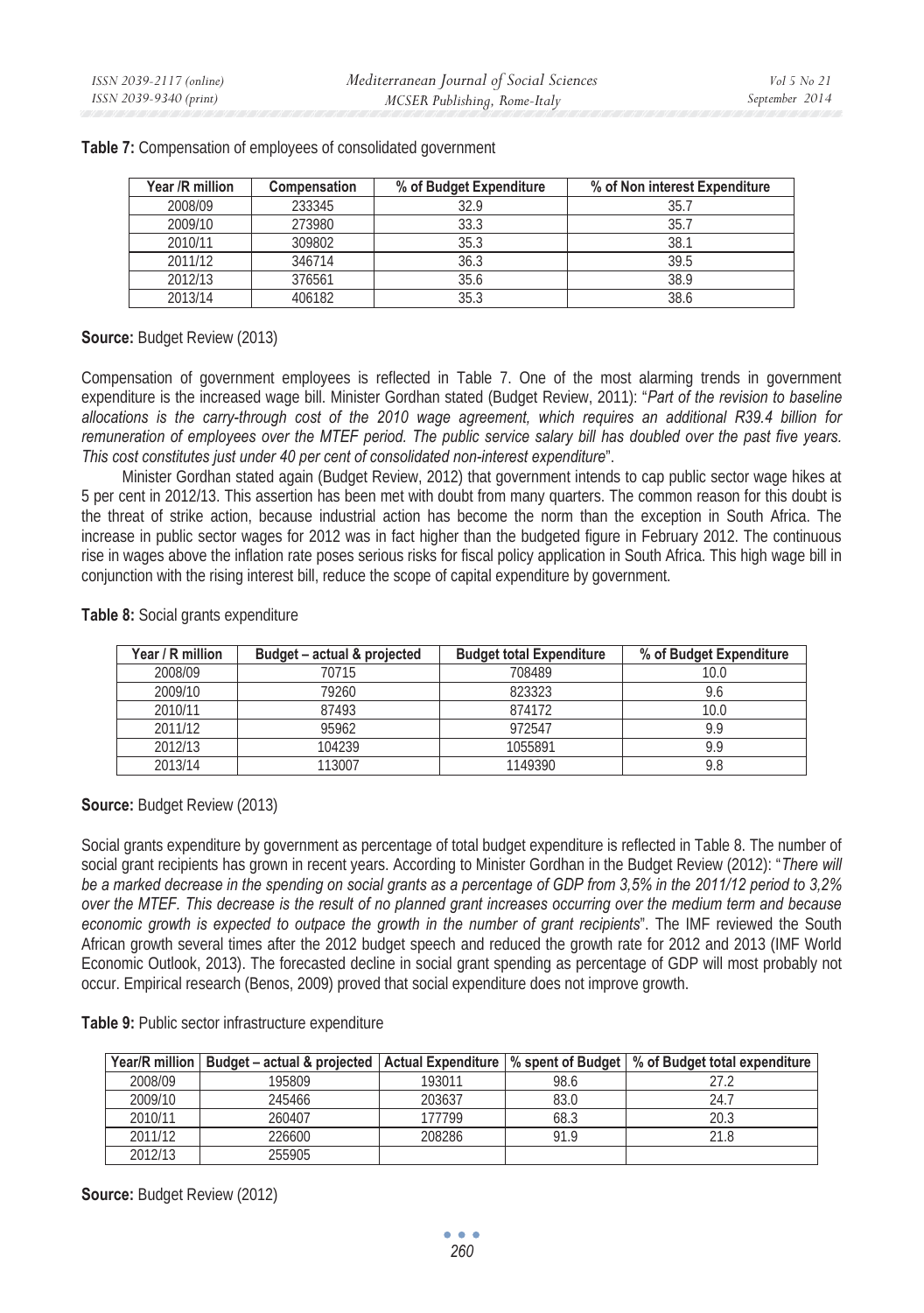| Year /R million | <b>Compensation</b> | % of Budget Expenditure | % of Non interest Expenditure |
|-----------------|---------------------|-------------------------|-------------------------------|
| 2008/09         | 233345              | 32.9                    | 35.7                          |
| 2009/10         | 273980              | 33.3                    | 35.7                          |
| 2010/11         | 309802              | 35.3                    | 38.1                          |
| 2011/12         | 346714              | 36.3                    | 39.5                          |
| 2012/13         | 376561              | 35.6                    | 38.9                          |
| 2013/14         | 406182              | 35.3                    | 38.6                          |

#### **Table 7:** Compensation of employees of consolidated government

**Source:** Budget Review (2013)

Compensation of government employees is reflected in Table 7. One of the most alarming trends in government expenditure is the increased wage bill. Minister Gordhan stated (Budget Review, 2011): "*Part of the revision to baseline allocations is the carry-through cost of the 2010 wage agreement, which requires an additional R39.4 billion for remuneration of employees over the MTEF period. The public service salary bill has doubled over the past five years. This cost constitutes just under 40 per cent of consolidated non-interest expenditure*".

Minister Gordhan stated again (Budget Review, 2012) that government intends to cap public sector wage hikes at 5 per cent in 2012/13. This assertion has been met with doubt from many quarters. The common reason for this doubt is the threat of strike action, because industrial action has become the norm than the exception in South Africa. The increase in public sector wages for 2012 was in fact higher than the budgeted figure in February 2012. The continuous rise in wages above the inflation rate poses serious risks for fiscal policy application in South Africa. This high wage bill in conjunction with the rising interest bill, reduce the scope of capital expenditure by government.

| Year / R million | Budget – actual & projected | <b>Budget total Expenditure</b> | % of Budget Expenditure |
|------------------|-----------------------------|---------------------------------|-------------------------|
| 2008/09          | 70715                       | 708489                          | 10.0                    |
| 2009/10          | 79260                       | 823323                          | 9.6                     |
| 2010/11          | 87493                       | 874172                          | 10.0                    |
| 2011/12          | 95962                       | 972547                          | 9.9                     |
| 2012/13          | 104239                      | 1055891                         | 9.9                     |
| 2013/14          | 113007                      | 1149390                         |                         |

**Table 8:** Social grants expenditure

**Source:** Budget Review (2013)

Social grants expenditure by government as percentage of total budget expenditure is reflected in Table 8. The number of social grant recipients has grown in recent years. According to Minister Gordhan in the Budget Review (2012): "*There will be a marked decrease in the spending on social grants as a percentage of GDP from 3,5% in the 2011/12 period to 3,2% over the MTEF. This decrease is the result of no planned grant increases occurring over the medium term and because economic growth is expected to outpace the growth in the number of grant recipients*". The IMF reviewed the South African growth several times after the 2012 budget speech and reduced the growth rate for 2012 and 2013 (IMF World Economic Outlook, 2013). The forecasted decline in social grant spending as percentage of GDP will most probably not occur. Empirical research (Benos, 2009) proved that social expenditure does not improve growth.

**Table 9:** Public sector infrastructure expenditure

| Year/R million | Budget – actual & projected |        |      | Actual Expenditure   % spent of Budget   % of Budget total expenditure |
|----------------|-----------------------------|--------|------|------------------------------------------------------------------------|
| 2008/09        | 195809                      | 193011 | 98.6 |                                                                        |
| 2009/10        | 245466                      | 203637 | 83.0 | 24.7                                                                   |
| 2010/11        | 260407                      | 77799  | 68.3 | 20.3                                                                   |
| 2011/12        | 226600                      | 208286 | 91.9 | 21.8                                                                   |
| 2012/13        | 255905                      |        |      |                                                                        |

**Source:** Budget Review (2012)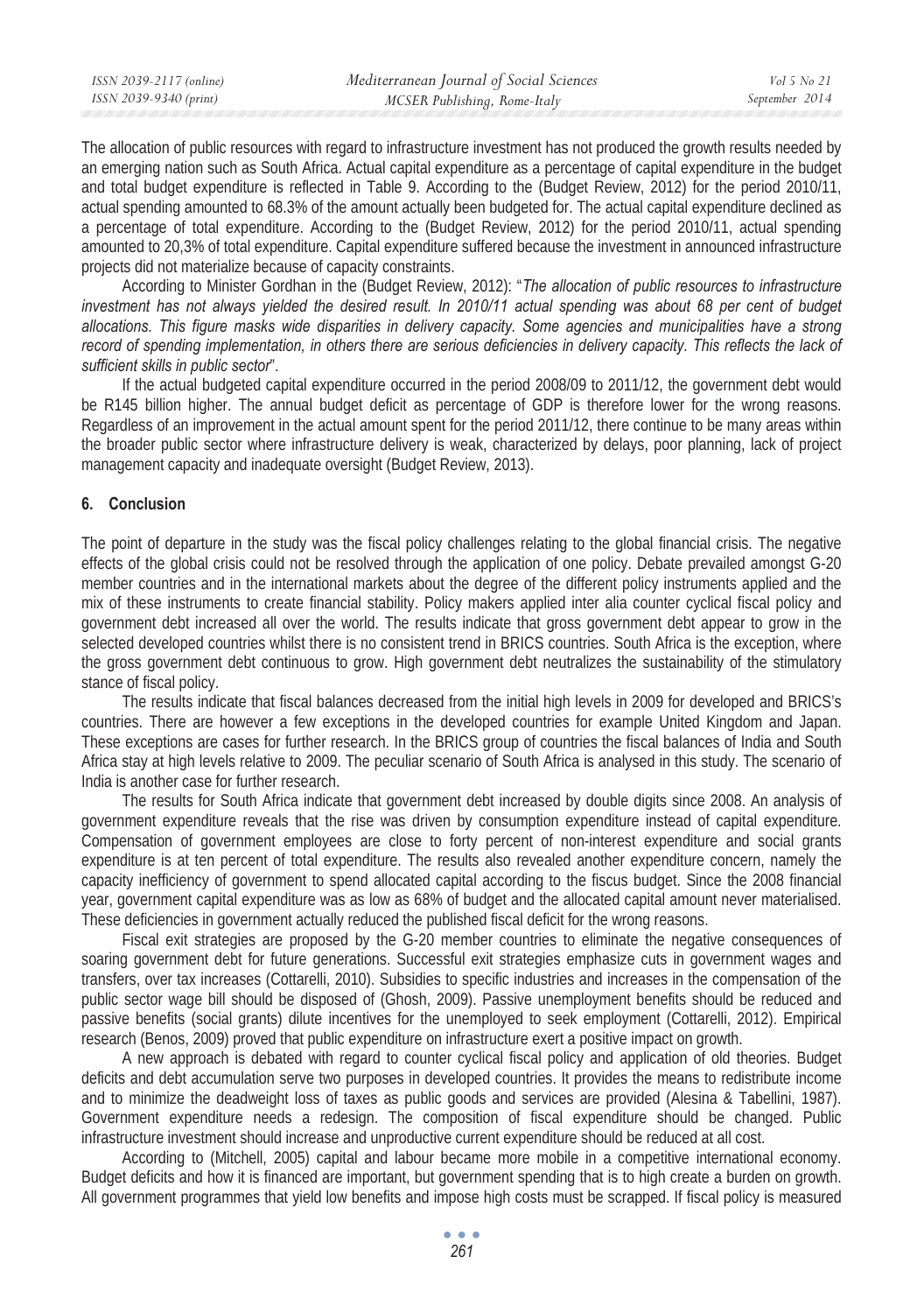| Mediterranean Journal of Social Sciences               |                |
|--------------------------------------------------------|----------------|
| ISSN 2039-9340 (print)<br>MCSER Publishing, Rome-Italy | September 2014 |

The allocation of public resources with regard to infrastructure investment has not produced the growth results needed by an emerging nation such as South Africa. Actual capital expenditure as a percentage of capital expenditure in the budget and total budget expenditure is reflected in Table 9. According to the (Budget Review, 2012) for the period 2010/11, actual spending amounted to 68.3% of the amount actually been budgeted for. The actual capital expenditure declined as a percentage of total expenditure. According to the (Budget Review, 2012) for the period 2010/11, actual spending amounted to 20,3% of total expenditure. Capital expenditure suffered because the investment in announced infrastructure projects did not materialize because of capacity constraints.

According to Minister Gordhan in the (Budget Review, 2012): "*The allocation of public resources to infrastructure*  investment has not always yielded the desired result. In 2010/11 actual spending was about 68 per cent of budget *allocations. This figure masks wide disparities in delivery capacity. Some agencies and municipalities have a strong record of spending implementation, in others there are serious deficiencies in delivery capacity. This reflects the lack of sufficient skills in public sector*".

If the actual budgeted capital expenditure occurred in the period 2008/09 to 2011/12, the government debt would be R145 billion higher. The annual budget deficit as percentage of GDP is therefore lower for the wrong reasons. Regardless of an improvement in the actual amount spent for the period 2011/12, there continue to be many areas within the broader public sector where infrastructure delivery is weak, characterized by delays, poor planning, lack of project management capacity and inadequate oversight (Budget Review, 2013).

### **6. Conclusion**

The point of departure in the study was the fiscal policy challenges relating to the global financial crisis. The negative effects of the global crisis could not be resolved through the application of one policy. Debate prevailed amongst G-20 member countries and in the international markets about the degree of the different policy instruments applied and the mix of these instruments to create financial stability. Policy makers applied inter alia counter cyclical fiscal policy and government debt increased all over the world. The results indicate that gross government debt appear to grow in the selected developed countries whilst there is no consistent trend in BRICS countries. South Africa is the exception, where the gross government debt continuous to grow. High government debt neutralizes the sustainability of the stimulatory stance of fiscal policy.

The results indicate that fiscal balances decreased from the initial high levels in 2009 for developed and BRICS's countries. There are however a few exceptions in the developed countries for example United Kingdom and Japan. These exceptions are cases for further research. In the BRICS group of countries the fiscal balances of India and South Africa stay at high levels relative to 2009. The peculiar scenario of South Africa is analysed in this study. The scenario of India is another case for further research.

The results for South Africa indicate that government debt increased by double digits since 2008. An analysis of government expenditure reveals that the rise was driven by consumption expenditure instead of capital expenditure. Compensation of government employees are close to forty percent of non-interest expenditure and social grants expenditure is at ten percent of total expenditure. The results also revealed another expenditure concern, namely the capacity inefficiency of government to spend allocated capital according to the fiscus budget. Since the 2008 financial year, government capital expenditure was as low as 68% of budget and the allocated capital amount never materialised. These deficiencies in government actually reduced the published fiscal deficit for the wrong reasons.

Fiscal exit strategies are proposed by the G-20 member countries to eliminate the negative consequences of soaring government debt for future generations. Successful exit strategies emphasize cuts in government wages and transfers, over tax increases (Cottarelli, 2010). Subsidies to specific industries and increases in the compensation of the public sector wage bill should be disposed of (Ghosh, 2009). Passive unemployment benefits should be reduced and passive benefits (social grants) dilute incentives for the unemployed to seek employment (Cottarelli, 2012). Empirical research (Benos, 2009) proved that public expenditure on infrastructure exert a positive impact on growth.

A new approach is debated with regard to counter cyclical fiscal policy and application of old theories. Budget deficits and debt accumulation serve two purposes in developed countries. It provides the means to redistribute income and to minimize the deadweight loss of taxes as public goods and services are provided (Alesina & Tabellini, 1987). Government expenditure needs a redesign. The composition of fiscal expenditure should be changed. Public infrastructure investment should increase and unproductive current expenditure should be reduced at all cost.

According to (Mitchell, 2005) capital and labour became more mobile in a competitive international economy. Budget deficits and how it is financed are important, but government spending that is to high create a burden on growth. All government programmes that yield low benefits and impose high costs must be scrapped. If fiscal policy is measured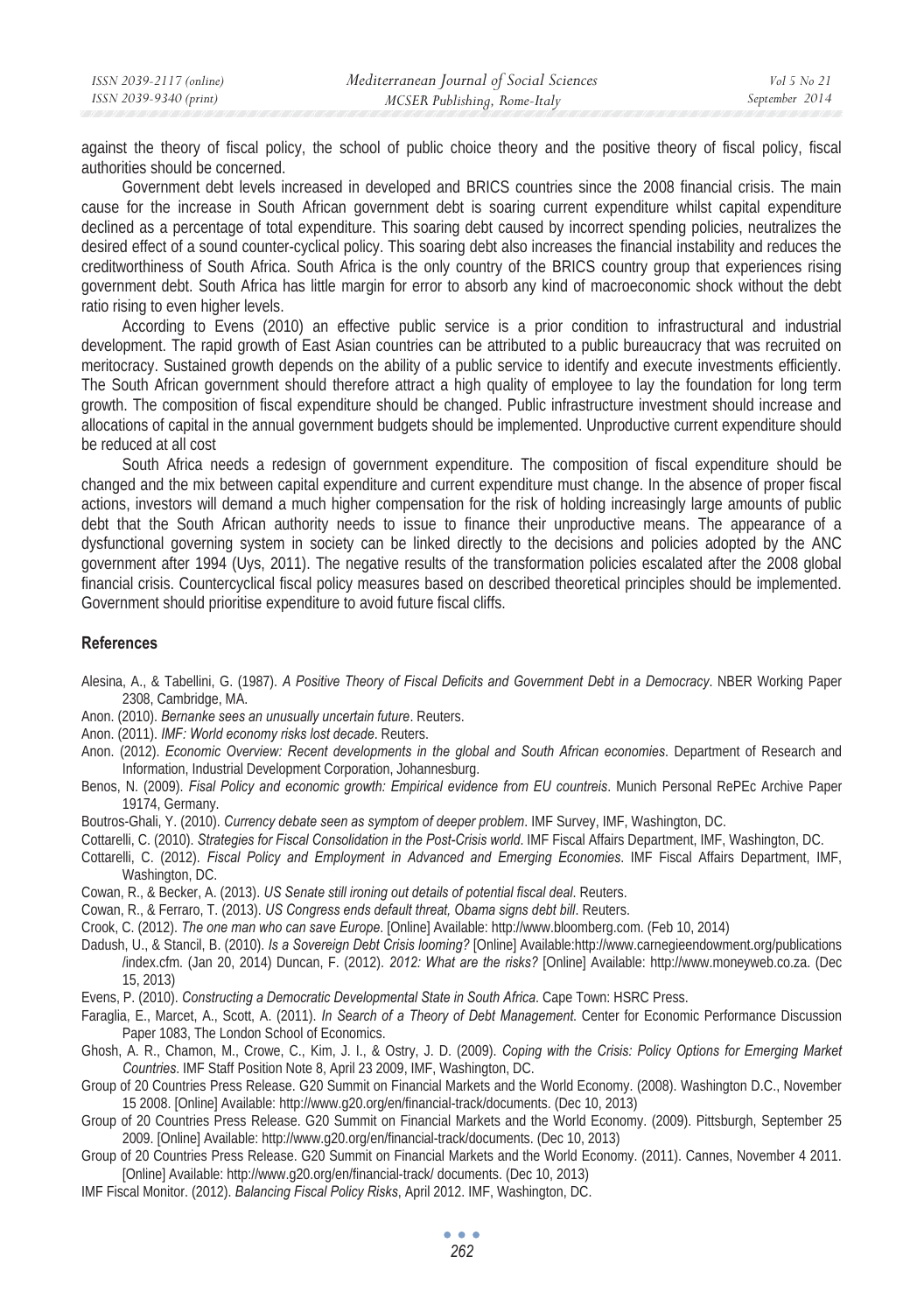against the theory of fiscal policy, the school of public choice theory and the positive theory of fiscal policy, fiscal authorities should be concerned.

Government debt levels increased in developed and BRICS countries since the 2008 financial crisis. The main cause for the increase in South African government debt is soaring current expenditure whilst capital expenditure declined as a percentage of total expenditure. This soaring debt caused by incorrect spending policies, neutralizes the desired effect of a sound counter-cyclical policy. This soaring debt also increases the financial instability and reduces the creditworthiness of South Africa. South Africa is the only country of the BRICS country group that experiences rising government debt. South Africa has little margin for error to absorb any kind of macroeconomic shock without the debt ratio rising to even higher levels.

According to Evens (2010) an effective public service is a prior condition to infrastructural and industrial development. The rapid growth of East Asian countries can be attributed to a public bureaucracy that was recruited on meritocracy. Sustained growth depends on the ability of a public service to identify and execute investments efficiently. The South African government should therefore attract a high quality of employee to lay the foundation for long term growth. The composition of fiscal expenditure should be changed. Public infrastructure investment should increase and allocations of capital in the annual government budgets should be implemented. Unproductive current expenditure should be reduced at all cost

South Africa needs a redesign of government expenditure. The composition of fiscal expenditure should be changed and the mix between capital expenditure and current expenditure must change. In the absence of proper fiscal actions, investors will demand a much higher compensation for the risk of holding increasingly large amounts of public debt that the South African authority needs to issue to finance their unproductive means. The appearance of a dysfunctional governing system in society can be linked directly to the decisions and policies adopted by the ANC government after 1994 (Uys, 2011). The negative results of the transformation policies escalated after the 2008 global financial crisis. Countercyclical fiscal policy measures based on described theoretical principles should be implemented. Government should prioritise expenditure to avoid future fiscal cliffs.

#### **References**

- Alesina, A., & Tabellini, G. (1987). *A Positive Theory of Fiscal Deficits and Government Debt in a Democracy*. NBER Working Paper 2308, Cambridge, MA.
- Anon. (2010). *Bernanke sees an unusually uncertain future*. Reuters.
- Anon. (2011). *IMF: World economy risks lost decade*. Reuters.
- Anon. (2012). *Economic Overview: Recent developments in the global and South African economies*. Department of Research and Information, Industrial Development Corporation, Johannesburg.
- Benos, N. (2009). *Fisal Policy and economic growth: Empirical evidence from EU countreis*. Munich Personal RePEc Archive Paper 19174, Germany.
- Boutros-Ghali, Y. (2010). *Currency debate seen as symptom of deeper problem*. IMF Survey, IMF, Washington, DC.
- Cottarelli, C. (2010). *Strategies for Fiscal Consolidation in the Post-Crisis world*. IMF Fiscal Affairs Department, IMF, Washington, DC.
- Cottarelli, C. (2012). *Fiscal Policy and Employment in Advanced and Emerging Economies*. IMF Fiscal Affairs Department, IMF, Washington, DC.
- Cowan, R., & Becker, A. (2013). *US Senate still ironing out details of potential fiscal deal*. Reuters.
- Cowan, R., & Ferraro, T. (2013). *US Congress ends default threat, Obama signs debt bill*. Reuters.
- Crook, C. (2012). *The one man who can save Europe*. [Online] Available: http://www.bloomberg.com. (Feb 10, 2014)
- Dadush, U., & Stancil, B. (2010). *Is a Sovereign Debt Crisis looming?* [Online] Available:http://www.carnegieendowment.org/publications /index.cfm. (Jan 20, 2014) Duncan, F. (2012). *2012: What are the risks?* [Online] Available: http://www.moneyweb.co.za. (Dec 15, 2013)
- Evens, P. (2010). *Constructing a Democratic Developmental State in South Africa*. Cape Town: HSRC Press.
- Faraglia, E., Marcet, A., Scott, A. (2011). *In Search of a Theory of Debt Management*. Center for Economic Performance Discussion Paper 1083, The London School of Economics.
- Ghosh, A. R., Chamon, M., Crowe, C., Kim, J. I., & Ostry, J. D. (2009). *Coping with the Crisis: Policy Options for Emerging Market Countries*. IMF Staff Position Note 8, April 23 2009, IMF, Washington, DC.
- Group of 20 Countries Press Release. G20 Summit on Financial Markets and the World Economy. (2008). Washington D.C., November 15 2008. [Online] Available: http://www.g20.org/en/financial-track/documents. (Dec 10, 2013)
- Group of 20 Countries Press Release. G20 Summit on Financial Markets and the World Economy. (2009). Pittsburgh, September 25 2009. [Online] Available: http://www.g20.org/en/financial-track/documents. (Dec 10, 2013)
- Group of 20 Countries Press Release. G20 Summit on Financial Markets and the World Economy. (2011). Cannes, November 4 2011. [Online] Available: http://www.g20.org/en/financial-track/ documents. (Dec 10, 2013)
- IMF Fiscal Monitor. (2012). *Balancing Fiscal Policy Risks*, April 2012. IMF, Washington, DC.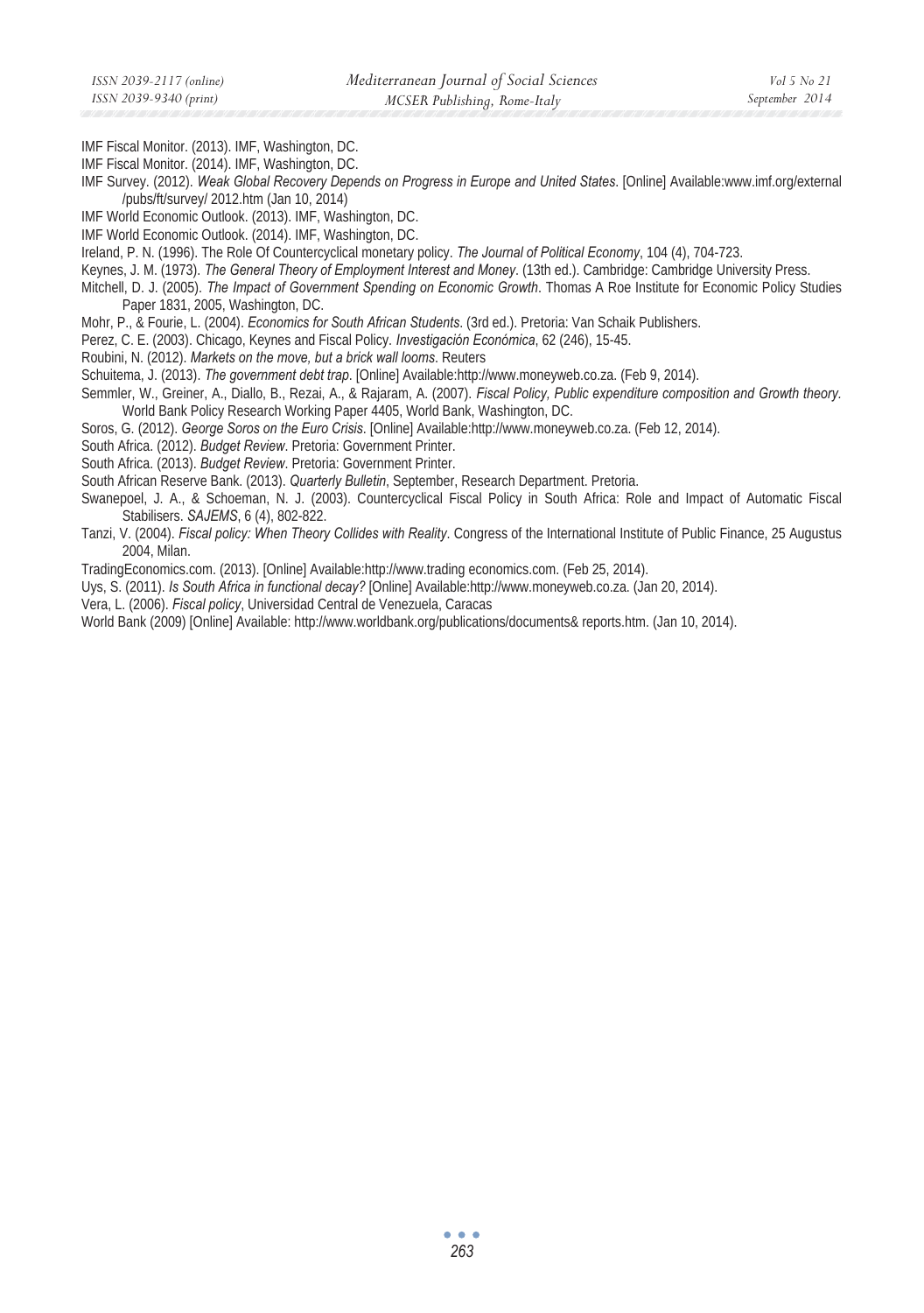IMF Fiscal Monitor. (2013). IMF, Washington, DC.

IMF Fiscal Monitor. (2014). IMF, Washington, DC.

IMF Survey. (2012). *Weak Global Recovery Depends on Progress in Europe and United States*. [Online] Available:www.imf.org/external /pubs/ft/survey/ 2012.htm (Jan 10, 2014)

IMF World Economic Outlook. (2013). IMF, Washington, DC.

IMF World Economic Outlook. (2014). IMF, Washington, DC.

Ireland, P. N. (1996). The Role Of Countercyclical monetary policy. *The Journal of Political Economy*, 104 (4), 704-723.

Keynes, J. M. (1973). *The General Theory of Employment Interest and Money*. (13th ed.). Cambridge: Cambridge University Press.

Mitchell, D. J. (2005). *The Impact of Government Spending on Economic Growth*. Thomas A Roe Institute for Economic Policy Studies Paper 1831, 2005, Washington, DC.

Mohr, P., & Fourie, L. (2004). *Economics for South African Students*. (3rd ed.). Pretoria: Van Schaik Publishers.

Perez, C. E. (2003). Chicago, Keynes and Fiscal Policy. *Investigación Económica*, 62 (246), 15-45.

Roubini, N. (2012). *Markets on the move, but a brick wall looms*. Reuters

Schuitema, J. (2013). *The government debt trap*. [Online] Available:http://www.moneyweb.co.za. (Feb 9, 2014).

Semmler, W., Greiner, A., Diallo, B., Rezai, A., & Rajaram, A. (2007). *Fiscal Policy, Public expenditure composition and Growth theory.*  World Bank Policy Research Working Paper 4405, World Bank, Washington, DC.

Soros, G. (2012). *George Soros on the Euro Crisis*. [Online] Available:http://www.moneyweb.co.za. (Feb 12, 2014).

South Africa. (2012). *Budget Review*. Pretoria: Government Printer.

South Africa. (2013). *Budget Review*. Pretoria: Government Printer.

South African Reserve Bank. (2013). *Quarterly Bulletin*, September, Research Department. Pretoria.

Swanepoel, J. A., & Schoeman, N. J. (2003). Countercyclical Fiscal Policy in South Africa: Role and Impact of Automatic Fiscal Stabilisers. *SAJEMS*, 6 (4), 802-822.

Tanzi, V. (2004). *Fiscal policy: When Theory Collides with Reality*. Congress of the International Institute of Public Finance, 25 Augustus 2004, Milan.

TradingEconomics.com. (2013). [Online] Available:http://www.trading economics.com. (Feb 25, 2014).

Uys, S. (2011). *Is South Africa in functional decay?* [Online] Available:http://www.moneyweb.co.za. (Jan 20, 2014).

Vera, L. (2006). *Fiscal policy*, Universidad Central de Venezuela, Caracas

World Bank (2009) [Online] Available: http://www.worldbank.org/publications/documents& reports.htm. (Jan 10, 2014).